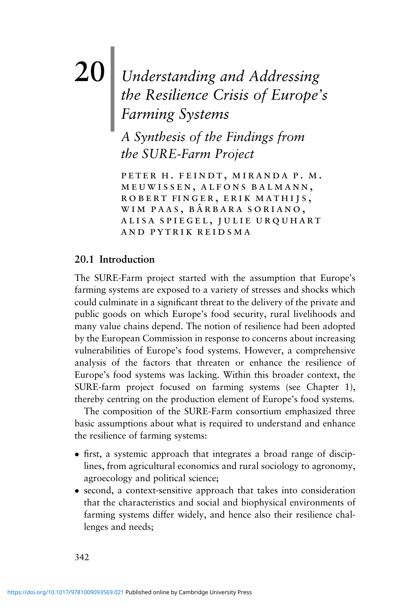# **20**| *Understanding and Addressing the Resilience Crisis of Europe's Farming Systems*

*A Synthesis of the Findings from the SURE-Farm Project*

peter h. feindt, miranda p. m. meuwissen, alfons balmann, robert finger, erik mathijs, WIM PAAS, BÁRBARA SORIANO, alisa spiegel, julie urquhart and pytrik reidsma

## **20.1 Introduction**

The SURE-Farm project started with the assumption that Europe's farming systems are exposed to a variety of stresses and shocks which could culminate in a significant threat to the delivery of the private and public goods on which Europe's food security, rural livelihoods and many value chains depend. The notion of resilience had been adopted by the European Commission in response to concerns about increasing vulnerabilities of Europe's food systems. However, a comprehensive analysis of the factors that threaten or enhance the resilience of Europe's food systems was lacking. Within this broader context, the SURE-farm project focused on farming systems (see Chapter 1), thereby centring on the production element of Europe's food systems.

The composition of the SURE-Farm consortium emphasized three basic assumptions about what is required to understand and enhance the resilience of farming systems:

- first, a systemic approach that integrates a broad range of disciplines, from agricultural economics and rural sociology to agronomy, agroecology and political science;
- second, a context-sensitive approach that takes into consideration that the characteristics and social and biophysical environments of farming systems differ widely, and hence also their resilience challenges and needs;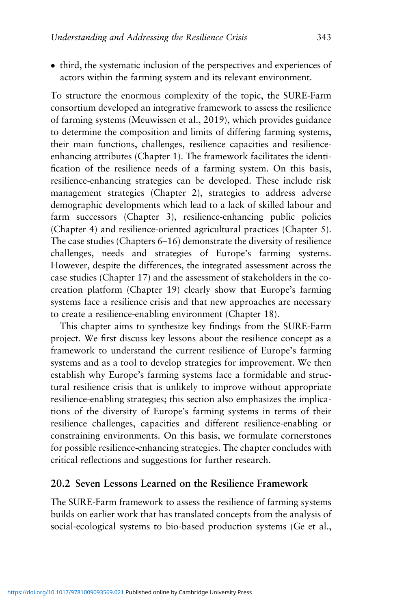• third, the systematic inclusion of the perspectives and experiences of actors within the farming system and its relevant environment.

To structure the enormous complexity of the topic, the SURE-Farm consortium developed an integrative framework to assess the resilience of farming systems (Meuwissen et al., 2019), which provides guidance to determine the composition and limits of differing farming systems, their main functions, challenges, resilience capacities and resilienceenhancing attributes (Chapter 1). The framework facilitates the identification of the resilience needs of a farming system. On this basis, resilience-enhancing strategies can be developed. These include risk management strategies (Chapter 2), strategies to address adverse demographic developments which lead to a lack of skilled labour and farm successors (Chapter 3), resilience-enhancing public policies (Chapter 4) and resilience-oriented agricultural practices (Chapter 5). The case studies (Chapters 6–16) demonstrate the diversity of resilience challenges, needs and strategies of Europe's farming systems. However, despite the differences, the integrated assessment across the case studies (Chapter 17) and the assessment of stakeholders in the cocreation platform (Chapter 19) clearly show that Europe's farming systems face a resilience crisis and that new approaches are necessary to create a resilience-enabling environment (Chapter 18).

This chapter aims to synthesize key findings from the SURE-Farm project. We first discuss key lessons about the resilience concept as a framework to understand the current resilience of Europe's farming systems and as a tool to develop strategies for improvement. We then establish why Europe's farming systems face a formidable and structural resilience crisis that is unlikely to improve without appropriate resilience-enabling strategies; this section also emphasizes the implications of the diversity of Europe's farming systems in terms of their resilience challenges, capacities and different resilience-enabling or constraining environments. On this basis, we formulate cornerstones for possible resilience-enhancing strategies. The chapter concludes with critical reflections and suggestions for further research.

## **20.2 Seven Lessons Learned on the Resilience Framework**

The SURE-Farm framework to assess the resilience of farming systems builds on earlier work that has translated concepts from the analysis of social-ecological systems to bio-based production systems (Ge et al.,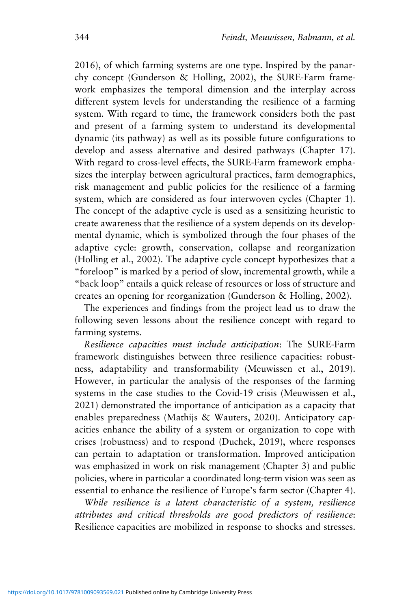2016), of which farming systems are one type. Inspired by the panarchy concept (Gunderson & Holling, 2002), the SURE-Farm framework emphasizes the temporal dimension and the interplay across different system levels for understanding the resilience of a farming system. With regard to time, the framework considers both the past and present of a farming system to understand its developmental dynamic (its pathway) as well as its possible future configurations to develop and assess alternative and desired pathways (Chapter 17). With regard to cross-level effects, the SURE-Farm framework emphasizes the interplay between agricultural practices, farm demographics, risk management and public policies for the resilience of a farming system, which are considered as four interwoven cycles (Chapter 1). The concept of the adaptive cycle is used as a sensitizing heuristic to create awareness that the resilience of a system depends on its developmental dynamic, which is symbolized through the four phases of the adaptive cycle: growth, conservation, collapse and reorganization (Holling et al., 2002). The adaptive cycle concept hypothesizes that a "foreloop" is marked by a period of slow, incremental growth, while a "back loop" entails a quick release of resources or loss of structure and creates an opening for reorganization (Gunderson & Holling, 2002).

The experiences and findings from the project lead us to draw the following seven lessons about the resilience concept with regard to farming systems.

*Resilience capacities must include anticipation*: The SURE-Farm framework distinguishes between three resilience capacities: robustness, adaptability and transformability (Meuwissen et al., 2019). However, in particular the analysis of the responses of the farming systems in the case studies to the Covid-19 crisis (Meuwissen et al., 2021) demonstrated the importance of anticipation as a capacity that enables preparedness (Mathijs & Wauters, 2020). Anticipatory capacities enhance the ability of a system or organization to cope with crises (robustness) and to respond (Duchek, 2019), where responses can pertain to adaptation or transformation. Improved anticipation was emphasized in work on risk management (Chapter 3) and public policies, where in particular a coordinated long-term vision was seen as essential to enhance the resilience of Europe's farm sector (Chapter 4).

*While resilience is a latent characteristic of a system, resilience attributes and critical thresholds are good predictors of resilience*: Resilience capacities are mobilized in response to shocks and stresses.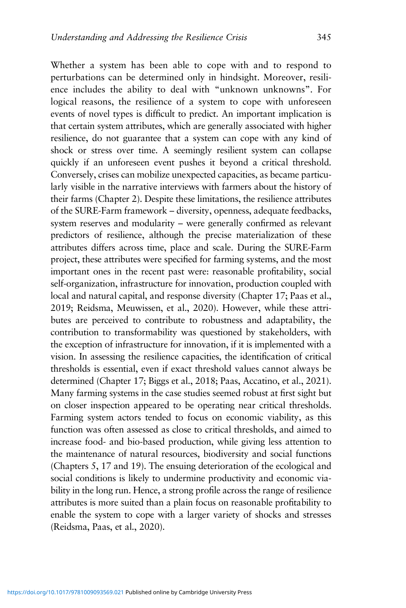perturbations can be determined only in hindsight. Moreover, resilience includes the ability to deal with "unknown unknowns". For logical reasons, the resilience of a system to cope with unforeseen events of novel types is difficult to predict. An important implication is that certain system attributes, which are generally associated with higher resilience, do not guarantee that a system can cope with any kind of shock or stress over time. A seemingly resilient system can collapse quickly if an unforeseen event pushes it beyond a critical threshold. Conversely, crises can mobilize unexpected capacities, as became particularly visible in the narrative interviews with farmers about the history of their farms (Chapter 2). Despite these limitations, the resilience attributes of the SURE-Farm framework – diversity, openness, adequate feedbacks, system reserves and modularity – were generally confirmed as relevant predictors of resilience, although the precise materialization of these attributes differs across time, place and scale. During the SURE-Farm project, these attributes were specified for farming systems, and the most important ones in the recent past were: reasonable profitability, social self-organization, infrastructure for innovation, production coupled with local and natural capital, and response diversity (Chapter 17; Paas et al., 2019; Reidsma, Meuwissen, et al., 2020). However, while these attributes are perceived to contribute to robustness and adaptability, the contribution to transformability was questioned by stakeholders, with the exception of infrastructure for innovation, if it is implemented with a vision. In assessing the resilience capacities, the identification of critical thresholds is essential, even if exact threshold values cannot always be determined (Chapter 17; Biggs et al., 2018; Paas, Accatino, et al., 2021). Many farming systems in the case studies seemed robust at first sight but on closer inspection appeared to be operating near critical thresholds. Farming system actors tended to focus on economic viability, as this function was often assessed as close to critical thresholds, and aimed to increase food- and bio-based production, while giving less attention to the maintenance of natural resources, biodiversity and social functions (Chapters 5, 17 and 19). The ensuing deterioration of the ecological and social conditions is likely to undermine productivity and economic viability in the long run. Hence, a strong profile across the range of resilience attributes is more suited than a plain focus on reasonable profitability to enable the system to cope with a larger variety of shocks and stresses (Reidsma, Paas, et al., 2020).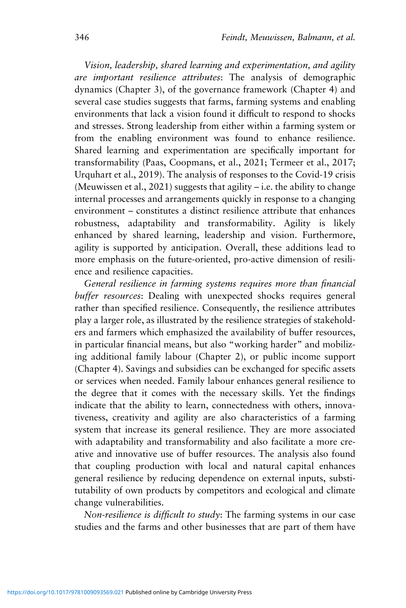*Vision, leadership, shared learning and experimentation, and agility are important resilience attributes*: The analysis of demographic dynamics (Chapter 3), of the governance framework (Chapter 4) and several case studies suggests that farms, farming systems and enabling environments that lack a vision found it difficult to respond to shocks and stresses. Strong leadership from either within a farming system or from the enabling environment was found to enhance resilience. Shared learning and experimentation are specifically important for transformability (Paas, Coopmans, et al., 2021; Termeer et al., 2017; Urquhart et al., 2019). The analysis of responses to the Covid-19 crisis (Meuwissen et al., 2021) suggests that agility  $-$  i.e. the ability to change internal processes and arrangements quickly in response to a changing environment – constitutes a distinct resilience attribute that enhances robustness, adaptability and transformability. Agility is likely enhanced by shared learning, leadership and vision. Furthermore, agility is supported by anticipation. Overall, these additions lead to more emphasis on the future-oriented, pro-active dimension of resilience and resilience capacities.

*General resilience in farming systems requires more than financial buffer resources*: Dealing with unexpected shocks requires general rather than specified resilience. Consequently, the resilience attributes play a larger role, as illustrated by the resilience strategies of stakeholders and farmers which emphasized the availability of buffer resources, in particular financial means, but also "working harder" and mobilizing additional family labour (Chapter 2), or public income support (Chapter 4). Savings and subsidies can be exchanged for specific assets or services when needed. Family labour enhances general resilience to the degree that it comes with the necessary skills. Yet the findings indicate that the ability to learn, connectedness with others, innovativeness, creativity and agility are also characteristics of a farming system that increase its general resilience. They are more associated with adaptability and transformability and also facilitate a more creative and innovative use of buffer resources. The analysis also found that coupling production with local and natural capital enhances general resilience by reducing dependence on external inputs, substitutability of own products by competitors and ecological and climate change vulnerabilities.

*Non-resilience is difficult to study*: The farming systems in our case studies and the farms and other businesses that are part of them have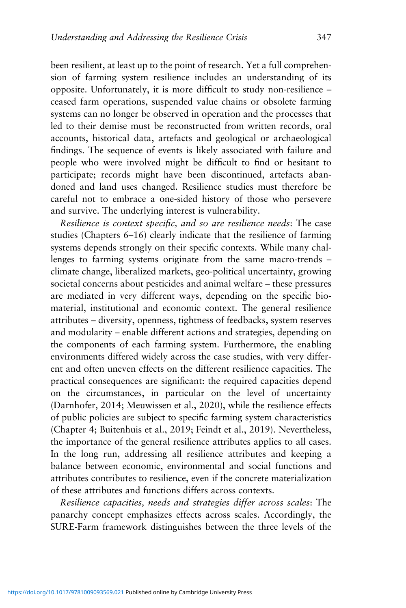been resilient, at least up to the point of research. Yet a full comprehension of farming system resilience includes an understanding of its opposite. Unfortunately, it is more difficult to study non-resilience – ceased farm operations, suspended value chains or obsolete farming systems can no longer be observed in operation and the processes that led to their demise must be reconstructed from written records, oral accounts, historical data, artefacts and geological or archaeological findings. The sequence of events is likely associated with failure and people who were involved might be difficult to find or hesitant to participate; records might have been discontinued, artefacts abandoned and land uses changed. Resilience studies must therefore be careful not to embrace a one-sided history of those who persevere and survive. The underlying interest is vulnerability.

*Resilience is context specific, and so are resilience needs*: The case studies (Chapters 6–16) clearly indicate that the resilience of farming systems depends strongly on their specific contexts. While many challenges to farming systems originate from the same macro-trends – climate change, liberalized markets, geo-political uncertainty, growing societal concerns about pesticides and animal welfare – these pressures are mediated in very different ways, depending on the specific biomaterial, institutional and economic context. The general resilience attributes – diversity, openness, tightness of feedbacks, system reserves and modularity – enable different actions and strategies, depending on the components of each farming system. Furthermore, the enabling environments differed widely across the case studies, with very different and often uneven effects on the different resilience capacities. The practical consequences are significant: the required capacities depend on the circumstances, in particular on the level of uncertainty (Darnhofer, 2014; Meuwissen et al., 2020), while the resilience effects of public policies are subject to specific farming system characteristics (Chapter 4; Buitenhuis et al., 2019; Feindt et al., 2019). Nevertheless, the importance of the general resilience attributes applies to all cases. In the long run, addressing all resilience attributes and keeping a balance between economic, environmental and social functions and attributes contributes to resilience, even if the concrete materialization of these attributes and functions differs across contexts.

*Resilience capacities, needs and strategies differ across scales*: The panarchy concept emphasizes effects across scales. Accordingly, the SURE-Farm framework distinguishes between the three levels of the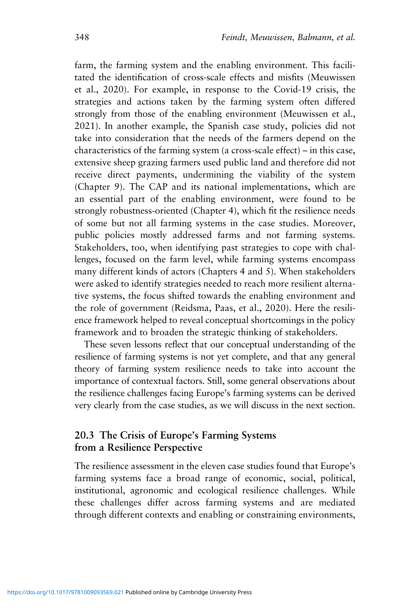farm, the farming system and the enabling environment. This facilitated the identification of cross-scale effects and misfits (Meuwissen et al., 2020). For example, in response to the Covid-19 crisis, the strategies and actions taken by the farming system often differed strongly from those of the enabling environment (Meuwissen et al., 2021). In another example, the Spanish case study, policies did not take into consideration that the needs of the farmers depend on the characteristics of the farming system (a cross-scale effect) – in this case, extensive sheep grazing farmers used public land and therefore did not receive direct payments, undermining the viability of the system (Chapter 9). The CAP and its national implementations, which are an essential part of the enabling environment, were found to be strongly robustness-oriented (Chapter 4), which fit the resilience needs of some but not all farming systems in the case studies. Moreover, public policies mostly addressed farms and not farming systems. Stakeholders, too, when identifying past strategies to cope with challenges, focused on the farm level, while farming systems encompass many different kinds of actors (Chapters 4 and 5). When stakeholders were asked to identify strategies needed to reach more resilient alternative systems, the focus shifted towards the enabling environment and the role of government (Reidsma, Paas, et al., 2020). Here the resilience framework helped to reveal conceptual shortcomings in the policy framework and to broaden the strategic thinking of stakeholders.

These seven lessons reflect that our conceptual understanding of the resilience of farming systems is not yet complete, and that any general theory of farming system resilience needs to take into account the importance of contextual factors. Still, some general observations about the resilience challenges facing Europe's farming systems can be derived very clearly from the case studies, as we will discuss in the next section.

## **20.3 The Crisis of Europe's Farming Systems from a Resilience Perspective**

The resilience assessment in the eleven case studies found that Europe's farming systems face a broad range of economic, social, political, institutional, agronomic and ecological resilience challenges. While these challenges differ across farming systems and are mediated through different contexts and enabling or constraining environments,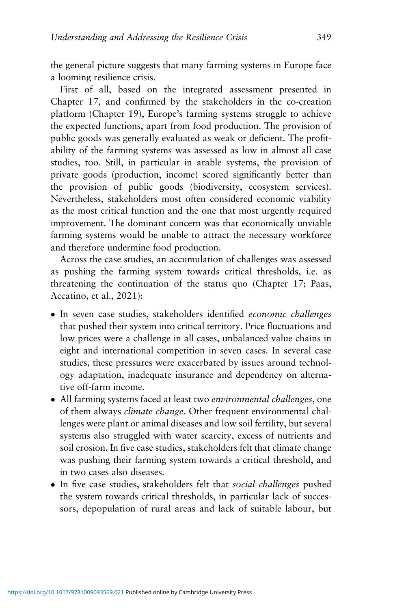the general picture suggests that many farming systems in Europe face a looming resilience crisis.

First of all, based on the integrated assessment presented in Chapter 17, and confirmed by the stakeholders in the co-creation platform (Chapter 19), Europe's farming systems struggle to achieve the expected functions, apart from food production. The provision of public goods was generally evaluated as weak or deficient. The profitability of the farming systems was assessed as low in almost all case studies, too. Still, in particular in arable systems, the provision of private goods (production, income) scored significantly better than the provision of public goods (biodiversity, ecosystem services). Nevertheless, stakeholders most often considered economic viability as the most critical function and the one that most urgently required improvement. The dominant concern was that economically unviable farming systems would be unable to attract the necessary workforce and therefore undermine food production.

Across the case studies, an accumulation of challenges was assessed as pushing the farming system towards critical thresholds, i.e. as threatening the continuation of the status quo (Chapter 17; Paas, Accatino, et al., 2021):

- In seven case studies, stakeholders identified *economic challenges* that pushed their system into critical territory. Price fluctuations and low prices were a challenge in all cases, unbalanced value chains in eight and international competition in seven cases. In several case studies, these pressures were exacerbated by issues around technology adaptation, inadequate insurance and dependency on alternative off-farm income.
- All farming systems faced at least two *environmental challenges*, one of them always *climate change*. Other frequent environmental challenges were plant or animal diseases and low soil fertility, but several systems also struggled with water scarcity, excess of nutrients and soil erosion. In five case studies, stakeholders felt that climate change was pushing their farming system towards a critical threshold, and in two cases also diseases.
- In five case studies, stakeholders felt that *social challenges* pushed the system towards critical thresholds, in particular lack of successors, depopulation of rural areas and lack of suitable labour, but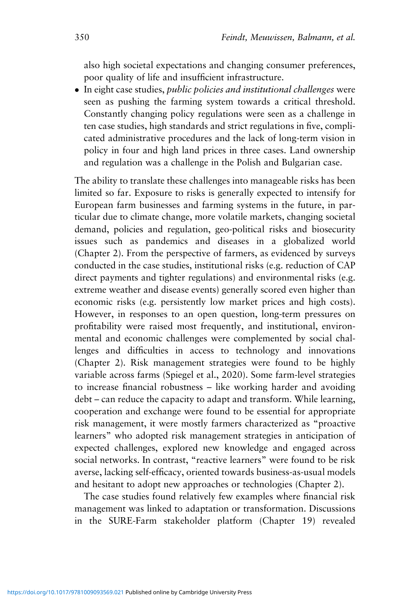also high societal expectations and changing consumer preferences, poor quality of life and insufficient infrastructure.

 In eight case studies, *public policies and institutional challenges* were seen as pushing the farming system towards a critical threshold. Constantly changing policy regulations were seen as a challenge in ten case studies, high standards and strict regulations in five, complicated administrative procedures and the lack of long-term vision in policy in four and high land prices in three cases. Land ownership and regulation was a challenge in the Polish and Bulgarian case.

The ability to translate these challenges into manageable risks has been limited so far. Exposure to risks is generally expected to intensify for European farm businesses and farming systems in the future, in particular due to climate change, more volatile markets, changing societal demand, policies and regulation, geo-political risks and biosecurity issues such as pandemics and diseases in a globalized world (Chapter 2). From the perspective of farmers, as evidenced by surveys conducted in the case studies, institutional risks (e.g. reduction of CAP direct payments and tighter regulations) and environmental risks (e.g. extreme weather and disease events) generally scored even higher than economic risks (e.g. persistently low market prices and high costs). However, in responses to an open question, long-term pressures on profitability were raised most frequently, and institutional, environmental and economic challenges were complemented by social challenges and difficulties in access to technology and innovations (Chapter 2). Risk management strategies were found to be highly variable across farms (Spiegel et al., 2020). Some farm-level strategies to increase financial robustness – like working harder and avoiding debt – can reduce the capacity to adapt and transform. While learning, cooperation and exchange were found to be essential for appropriate risk management, it were mostly farmers characterized as "proactive learners" who adopted risk management strategies in anticipation of expected challenges, explored new knowledge and engaged across social networks. In contrast, "reactive learners" were found to be risk averse, lacking self-efficacy, oriented towards business-as-usual models and hesitant to adopt new approaches or technologies (Chapter 2).

The case studies found relatively few examples where financial risk management was linked to adaptation or transformation. Discussions in the SURE-Farm stakeholder platform (Chapter 19) revealed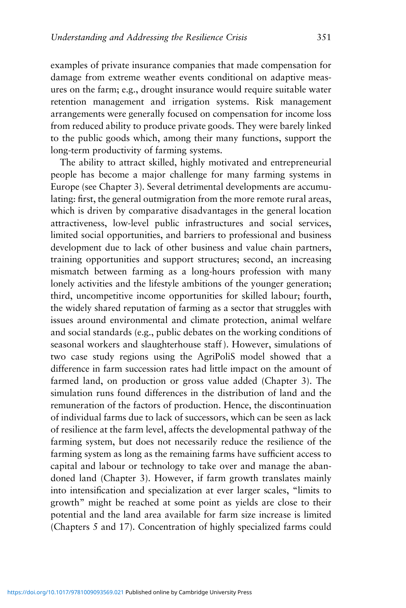examples of private insurance companies that made compensation for damage from extreme weather events conditional on adaptive measures on the farm; e.g., drought insurance would require suitable water retention management and irrigation systems. Risk management arrangements were generally focused on compensation for income loss from reduced ability to produce private goods. They were barely linked to the public goods which, among their many functions, support the long-term productivity of farming systems.

The ability to attract skilled, highly motivated and entrepreneurial people has become a major challenge for many farming systems in Europe (see Chapter 3). Several detrimental developments are accumulating: first, the general outmigration from the more remote rural areas, which is driven by comparative disadvantages in the general location attractiveness, low-level public infrastructures and social services, limited social opportunities, and barriers to professional and business development due to lack of other business and value chain partners, training opportunities and support structures; second, an increasing mismatch between farming as a long-hours profession with many lonely activities and the lifestyle ambitions of the younger generation; third, uncompetitive income opportunities for skilled labour; fourth, the widely shared reputation of farming as a sector that struggles with issues around environmental and climate protection, animal welfare and social standards (e.g., public debates on the working conditions of seasonal workers and slaughterhouse staff ). However, simulations of two case study regions using the AgriPoliS model showed that a difference in farm succession rates had little impact on the amount of farmed land, on production or gross value added (Chapter 3). The simulation runs found differences in the distribution of land and the remuneration of the factors of production. Hence, the discontinuation of individual farms due to lack of successors, which can be seen as lack of resilience at the farm level, affects the developmental pathway of the farming system, but does not necessarily reduce the resilience of the farming system as long as the remaining farms have sufficient access to capital and labour or technology to take over and manage the abandoned land (Chapter 3). However, if farm growth translates mainly into intensification and specialization at ever larger scales, "limits to growth" might be reached at some point as yields are close to their potential and the land area available for farm size increase is limited (Chapters 5 and 17). Concentration of highly specialized farms could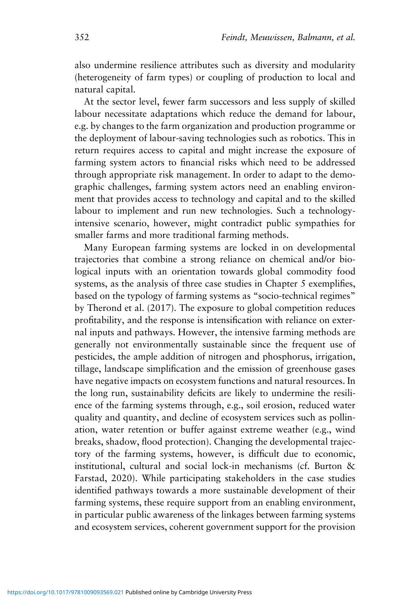also undermine resilience attributes such as diversity and modularity (heterogeneity of farm types) or coupling of production to local and natural capital.

At the sector level, fewer farm successors and less supply of skilled labour necessitate adaptations which reduce the demand for labour, e.g. by changes to the farm organization and production programme or the deployment of labour-saving technologies such as robotics. This in return requires access to capital and might increase the exposure of farming system actors to financial risks which need to be addressed through appropriate risk management. In order to adapt to the demographic challenges, farming system actors need an enabling environment that provides access to technology and capital and to the skilled labour to implement and run new technologies. Such a technologyintensive scenario, however, might contradict public sympathies for smaller farms and more traditional farming methods.

Many European farming systems are locked in on developmental trajectories that combine a strong reliance on chemical and/or biological inputs with an orientation towards global commodity food systems, as the analysis of three case studies in Chapter 5 exemplifies, based on the typology of farming systems as "socio-technical regimes" by Therond et al. (2017). The exposure to global competition reduces profitability, and the response is intensification with reliance on external inputs and pathways. However, the intensive farming methods are generally not environmentally sustainable since the frequent use of pesticides, the ample addition of nitrogen and phosphorus, irrigation, tillage, landscape simplification and the emission of greenhouse gases have negative impacts on ecosystem functions and natural resources. In the long run, sustainability deficits are likely to undermine the resilience of the farming systems through, e.g., soil erosion, reduced water quality and quantity, and decline of ecosystem services such as pollination, water retention or buffer against extreme weather (e.g., wind breaks, shadow, flood protection). Changing the developmental trajectory of the farming systems, however, is difficult due to economic, institutional, cultural and social lock-in mechanisms (cf. Burton & Farstad, 2020). While participating stakeholders in the case studies identified pathways towards a more sustainable development of their farming systems, these require support from an enabling environment, in particular public awareness of the linkages between farming systems and ecosystem services, coherent government support for the provision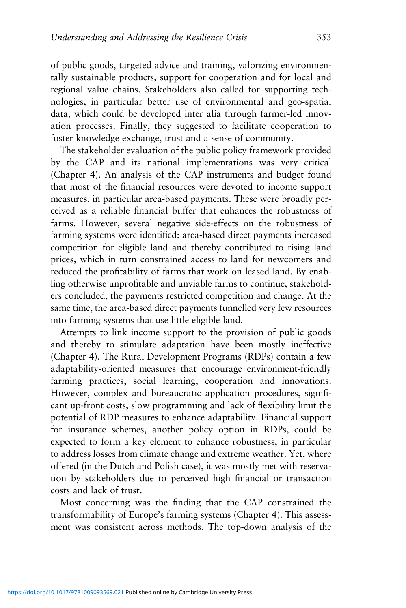of public goods, targeted advice and training, valorizing environmentally sustainable products, support for cooperation and for local and regional value chains. Stakeholders also called for supporting technologies, in particular better use of environmental and geo-spatial data, which could be developed inter alia through farmer-led innovation processes. Finally, they suggested to facilitate cooperation to foster knowledge exchange, trust and a sense of community.

The stakeholder evaluation of the public policy framework provided by the CAP and its national implementations was very critical (Chapter 4). An analysis of the CAP instruments and budget found that most of the financial resources were devoted to income support measures, in particular area-based payments. These were broadly perceived as a reliable financial buffer that enhances the robustness of farms. However, several negative side-effects on the robustness of farming systems were identified: area-based direct payments increased competition for eligible land and thereby contributed to rising land prices, which in turn constrained access to land for newcomers and reduced the profitability of farms that work on leased land. By enabling otherwise unprofitable and unviable farms to continue, stakeholders concluded, the payments restricted competition and change. At the same time, the area-based direct payments funnelled very few resources into farming systems that use little eligible land.

Attempts to link income support to the provision of public goods and thereby to stimulate adaptation have been mostly ineffective (Chapter 4). The Rural Development Programs (RDPs) contain a few adaptability-oriented measures that encourage environment-friendly farming practices, social learning, cooperation and innovations. However, complex and bureaucratic application procedures, significant up-front costs, slow programming and lack of flexibility limit the potential of RDP measures to enhance adaptability. Financial support for insurance schemes, another policy option in RDPs, could be expected to form a key element to enhance robustness, in particular to address losses from climate change and extreme weather. Yet, where offered (in the Dutch and Polish case), it was mostly met with reservation by stakeholders due to perceived high financial or transaction costs and lack of trust.

Most concerning was the finding that the CAP constrained the transformability of Europe's farming systems (Chapter 4). This assessment was consistent across methods. The top-down analysis of the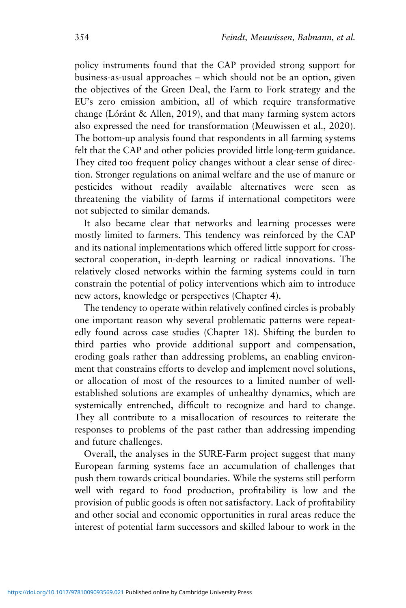policy instruments found that the CAP provided strong support for business-as-usual approaches – which should not be an option, given the objectives of the Green Deal, the Farm to Fork strategy and the EU's zero emission ambition, all of which require transformative change (Lóránt & Allen, 2019), and that many farming system actors also expressed the need for transformation (Meuwissen et al., 2020). The bottom-up analysis found that respondents in all farming systems felt that the CAP and other policies provided little long-term guidance. They cited too frequent policy changes without a clear sense of direction. Stronger regulations on animal welfare and the use of manure or pesticides without readily available alternatives were seen as threatening the viability of farms if international competitors were not subjected to similar demands.

It also became clear that networks and learning processes were mostly limited to farmers. This tendency was reinforced by the CAP and its national implementations which offered little support for crosssectoral cooperation, in-depth learning or radical innovations. The relatively closed networks within the farming systems could in turn constrain the potential of policy interventions which aim to introduce new actors, knowledge or perspectives (Chapter 4).

The tendency to operate within relatively confined circles is probably one important reason why several problematic patterns were repeatedly found across case studies (Chapter 18). Shifting the burden to third parties who provide additional support and compensation, eroding goals rather than addressing problems, an enabling environment that constrains efforts to develop and implement novel solutions, or allocation of most of the resources to a limited number of wellestablished solutions are examples of unhealthy dynamics, which are systemically entrenched, difficult to recognize and hard to change. They all contribute to a misallocation of resources to reiterate the responses to problems of the past rather than addressing impending and future challenges.

Overall, the analyses in the SURE-Farm project suggest that many European farming systems face an accumulation of challenges that push them towards critical boundaries. While the systems still perform well with regard to food production, profitability is low and the provision of public goods is often not satisfactory. Lack of profitability and other social and economic opportunities in rural areas reduce the interest of potential farm successors and skilled labour to work in the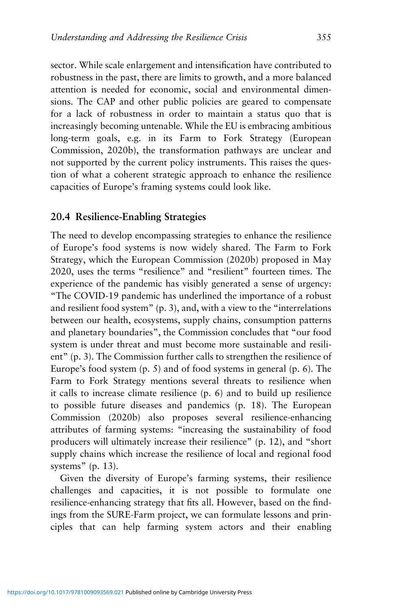sector. While scale enlargement and intensification have contributed to robustness in the past, there are limits to growth, and a more balanced attention is needed for economic, social and environmental dimensions. The CAP and other public policies are geared to compensate for a lack of robustness in order to maintain a status quo that is increasingly becoming untenable. While the EU is embracing ambitious long-term goals, e.g. in its Farm to Fork Strategy (European Commission, 2020b), the transformation pathways are unclear and not supported by the current policy instruments. This raises the question of what a coherent strategic approach to enhance the resilience capacities of Europe's framing systems could look like.

## **20.4 Resilience-Enabling Strategies**

The need to develop encompassing strategies to enhance the resilience of Europe's food systems is now widely shared. The Farm to Fork Strategy, which the European Commission (2020b) proposed in May 2020, uses the terms "resilience" and "resilient" fourteen times. The experience of the pandemic has visibly generated a sense of urgency: "The COVID-19 pandemic has underlined the importance of a robust and resilient food system" (p. 3), and, with a view to the "interrelations between our health, ecosystems, supply chains, consumption patterns and planetary boundaries", the Commission concludes that "our food system is under threat and must become more sustainable and resilient" (p. 3). The Commission further calls to strengthen the resilience of Europe's food system (p. 5) and of food systems in general (p. 6). The Farm to Fork Strategy mentions several threats to resilience when it calls to increase climate resilience (p. 6) and to build up resilience to possible future diseases and pandemics (p. 18). The European Commission (2020b) also proposes several resilience-enhancing attributes of farming systems: "increasing the sustainability of food producers will ultimately increase their resilience" (p. 12), and "short supply chains which increase the resilience of local and regional food systems" (p. 13).

Given the diversity of Europe's farming systems, their resilience challenges and capacities, it is not possible to formulate one resilience-enhancing strategy that fits all. However, based on the findings from the SURE-Farm project, we can formulate lessons and principles that can help farming system actors and their enabling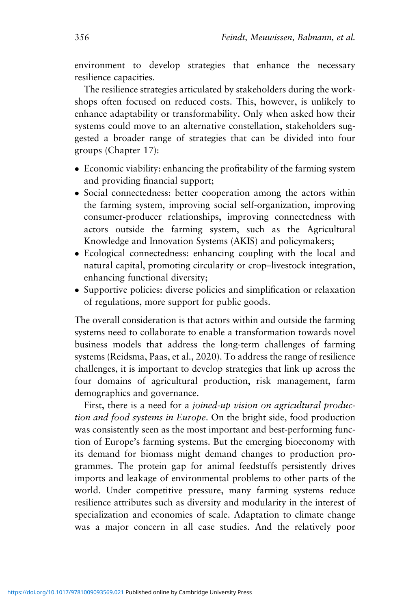environment to develop strategies that enhance the necessary resilience capacities.

The resilience strategies articulated by stakeholders during the workshops often focused on reduced costs. This, however, is unlikely to enhance adaptability or transformability. Only when asked how their systems could move to an alternative constellation, stakeholders suggested a broader range of strategies that can be divided into four groups (Chapter 17):

- Economic viability: enhancing the profitability of the farming system and providing financial support;
- Social connectedness: better cooperation among the actors within the farming system, improving social self-organization, improving consumer-producer relationships, improving connectedness with actors outside the farming system, such as the Agricultural Knowledge and Innovation Systems (AKIS) and policymakers;
- Ecological connectedness: enhancing coupling with the local and natural capital, promoting circularity or crop–livestock integration, enhancing functional diversity;
- Supportive policies: diverse policies and simplification or relaxation of regulations, more support for public goods.

The overall consideration is that actors within and outside the farming systems need to collaborate to enable a transformation towards novel business models that address the long-term challenges of farming systems (Reidsma, Paas, et al., 2020). To address the range of resilience challenges, it is important to develop strategies that link up across the four domains of agricultural production, risk management, farm demographics and governance.

First, there is a need for a *joined-up vision on agricultural production and food systems in Europe*. On the bright side, food production was consistently seen as the most important and best-performing function of Europe's farming systems. But the emerging bioeconomy with its demand for biomass might demand changes to production programmes. The protein gap for animal feedstuffs persistently drives imports and leakage of environmental problems to other parts of the world. Under competitive pressure, many farming systems reduce resilience attributes such as diversity and modularity in the interest of specialization and economies of scale. Adaptation to climate change was a major concern in all case studies. And the relatively poor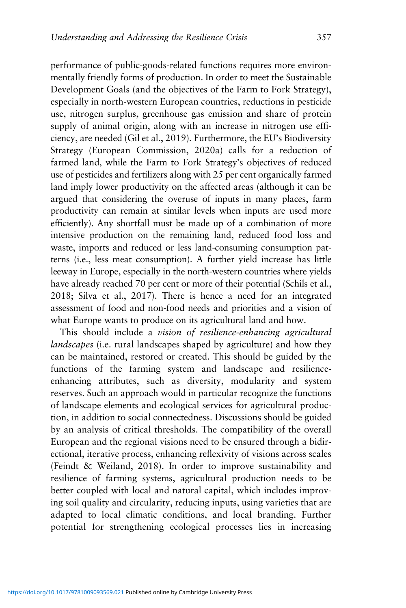performance of public-goods-related functions requires more environmentally friendly forms of production. In order to meet the Sustainable Development Goals (and the objectives of the Farm to Fork Strategy), especially in north-western European countries, reductions in pesticide use, nitrogen surplus, greenhouse gas emission and share of protein supply of animal origin, along with an increase in nitrogen use efficiency, are needed (Gil et al., 2019). Furthermore, the EU's Biodiversity Strategy (European Commission, 2020a) calls for a reduction of farmed land, while the Farm to Fork Strategy's objectives of reduced use of pesticides and fertilizers along with 25 per cent organically farmed land imply lower productivity on the affected areas (although it can be argued that considering the overuse of inputs in many places, farm productivity can remain at similar levels when inputs are used more efficiently). Any shortfall must be made up of a combination of more intensive production on the remaining land, reduced food loss and waste, imports and reduced or less land-consuming consumption patterns (i.e., less meat consumption). A further yield increase has little leeway in Europe, especially in the north-western countries where yields have already reached 70 per cent or more of their potential (Schils et al., 2018; Silva et al., 2017). There is hence a need for an integrated assessment of food and non-food needs and priorities and a vision of what Europe wants to produce on its agricultural land and how.

This should include a *vision of resilience-enhancing agricultural landscapes* (i.e. rural landscapes shaped by agriculture) and how they can be maintained, restored or created. This should be guided by the functions of the farming system and landscape and resilienceenhancing attributes, such as diversity, modularity and system reserves. Such an approach would in particular recognize the functions of landscape elements and ecological services for agricultural production, in addition to social connectedness. Discussions should be guided by an analysis of critical thresholds. The compatibility of the overall European and the regional visions need to be ensured through a bidirectional, iterative process, enhancing reflexivity of visions across scales (Feindt & Weiland, 2018). In order to improve sustainability and resilience of farming systems, agricultural production needs to be better coupled with local and natural capital, which includes improving soil quality and circularity, reducing inputs, using varieties that are adapted to local climatic conditions, and local branding. Further potential for strengthening ecological processes lies in increasing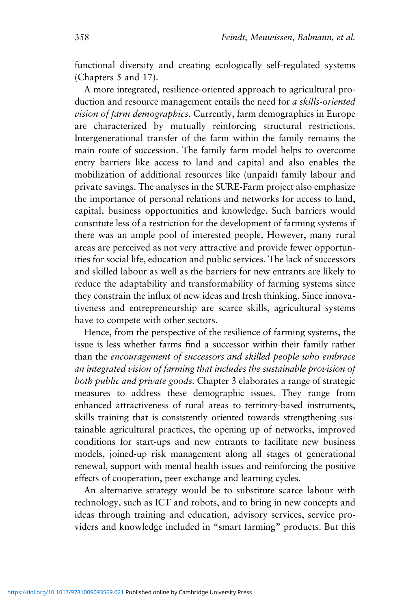functional diversity and creating ecologically self-regulated systems (Chapters 5 and 17).

A more integrated, resilience-oriented approach to agricultural production and resource management entails the need for *a skills-oriented vision of farm demographics*. Currently, farm demographics in Europe are characterized by mutually reinforcing structural restrictions. Intergenerational transfer of the farm within the family remains the main route of succession. The family farm model helps to overcome entry barriers like access to land and capital and also enables the mobilization of additional resources like (unpaid) family labour and private savings. The analyses in the SURE-Farm project also emphasize the importance of personal relations and networks for access to land, capital, business opportunities and knowledge. Such barriers would constitute less of a restriction for the development of farming systems if there was an ample pool of interested people. However, many rural areas are perceived as not very attractive and provide fewer opportunities for social life, education and public services. The lack of successors and skilled labour as well as the barriers for new entrants are likely to reduce the adaptability and transformability of farming systems since they constrain the influx of new ideas and fresh thinking. Since innovativeness and entrepreneurship are scarce skills, agricultural systems have to compete with other sectors.

Hence, from the perspective of the resilience of farming systems, the issue is less whether farms find a successor within their family rather than the *encouragement of successors and skilled people who embrace an integrated vision of farming that includes the sustainable provision of both public and private goods*. Chapter 3 elaborates a range of strategic measures to address these demographic issues. They range from enhanced attractiveness of rural areas to territory-based instruments, skills training that is consistently oriented towards strengthening sustainable agricultural practices, the opening up of networks, improved conditions for start-ups and new entrants to facilitate new business models, joined-up risk management along all stages of generational renewal, support with mental health issues and reinforcing the positive effects of cooperation, peer exchange and learning cycles.

An alternative strategy would be to substitute scarce labour with technology, such as ICT and robots, and to bring in new concepts and ideas through training and education, advisory services, service providers and knowledge included in "smart farming" products. But this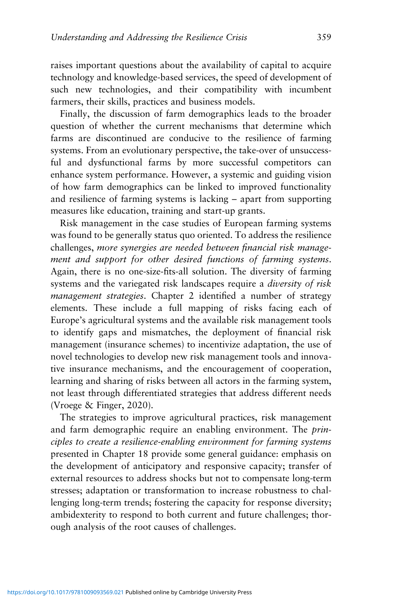raises important questions about the availability of capital to acquire technology and knowledge-based services, the speed of development of such new technologies, and their compatibility with incumbent farmers, their skills, practices and business models.

Finally, the discussion of farm demographics leads to the broader question of whether the current mechanisms that determine which farms are discontinued are conducive to the resilience of farming systems. From an evolutionary perspective, the take-over of unsuccessful and dysfunctional farms by more successful competitors can enhance system performance. However, a systemic and guiding vision of how farm demographics can be linked to improved functionality and resilience of farming systems is lacking – apart from supporting measures like education, training and start-up grants.

Risk management in the case studies of European farming systems was found to be generally status quo oriented. To address the resilience challenges, *more synergies are needed between financial risk management and support for other desired functions of farming systems*. Again, there is no one-size-fits-all solution. The diversity of farming systems and the variegated risk landscapes require a *diversity of risk management strategies*. Chapter 2 identified a number of strategy elements. These include a full mapping of risks facing each of Europe's agricultural systems and the available risk management tools to identify gaps and mismatches, the deployment of financial risk management (insurance schemes) to incentivize adaptation, the use of novel technologies to develop new risk management tools and innovative insurance mechanisms, and the encouragement of cooperation, learning and sharing of risks between all actors in the farming system, not least through differentiated strategies that address different needs (Vroege & Finger, 2020).

The strategies to improve agricultural practices, risk management and farm demographic require an enabling environment. The *principles to create a resilience-enabling environment for farming systems* presented in Chapter 18 provide some general guidance: emphasis on the development of anticipatory and responsive capacity; transfer of external resources to address shocks but not to compensate long-term stresses; adaptation or transformation to increase robustness to challenging long-term trends; fostering the capacity for response diversity; ambidexterity to respond to both current and future challenges; thorough analysis of the root causes of challenges.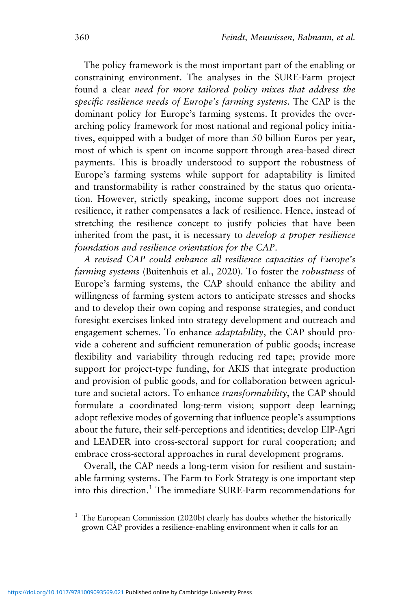The policy framework is the most important part of the enabling or constraining environment. The analyses in the SURE-Farm project found a clear *need for more tailored policy mixes that address the specific resilience needs of Europe's farming systems*. The CAP is the dominant policy for Europe's farming systems. It provides the overarching policy framework for most national and regional policy initiatives, equipped with a budget of more than 50 billion Euros per year, most of which is spent on income support through area-based direct payments. This is broadly understood to support the robustness of Europe's farming systems while support for adaptability is limited and transformability is rather constrained by the status quo orientation. However, strictly speaking, income support does not increase resilience, it rather compensates a lack of resilience. Hence, instead of stretching the resilience concept to justify policies that have been inherited from the past, it is necessary to *develop a proper resilience foundation and resilience orientation for the CAP*.

*A revised CAP could enhance all resilience capacities of Europe's farming systems* (Buitenhuis et al., 2020). To foster the *robustness* of Europe's farming systems, the CAP should enhance the ability and willingness of farming system actors to anticipate stresses and shocks and to develop their own coping and response strategies, and conduct foresight exercises linked into strategy development and outreach and engagement schemes. To enhance *adaptability*, the CAP should provide a coherent and sufficient remuneration of public goods; increase flexibility and variability through reducing red tape; provide more support for project-type funding, for AKIS that integrate production and provision of public goods, and for collaboration between agriculture and societal actors. To enhance *transformability*, the CAP should formulate a coordinated long-term vision; support deep learning; adopt reflexive modes of governing that influence people's assumptions about the future, their self-perceptions and identities; develop EIP-Agri and LEADER into cross-sectoral support for rural cooperation; and embrace cross-sectoral approaches in rural development programs.

Overall, the CAP needs a long-term vision for resilient and sustainable farming systems. The Farm to Fork Strategy is one important step into this direction.<sup>1</sup> The immediate SURE-Farm recommendations for

<sup>1</sup> The European Commission (2020b) clearly has doubts whether the historically grown CAP provides a resilience-enabling environment when it calls for an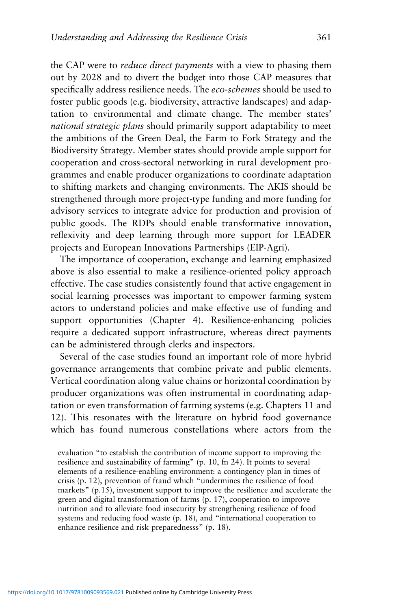the CAP were to *reduce direct payments* with a view to phasing them out by 2028 and to divert the budget into those CAP measures that specifically address resilience needs. The *eco-schemes* should be used to foster public goods (e.g. biodiversity, attractive landscapes) and adaptation to environmental and climate change. The member states' *national strategic plans* should primarily support adaptability to meet the ambitions of the Green Deal, the Farm to Fork Strategy and the Biodiversity Strategy. Member states should provide ample support for cooperation and cross-sectoral networking in rural development programmes and enable producer organizations to coordinate adaptation to shifting markets and changing environments. The AKIS should be strengthened through more project-type funding and more funding for advisory services to integrate advice for production and provision of public goods. The RDPs should enable transformative innovation, reflexivity and deep learning through more support for LEADER projects and European Innovations Partnerships (EIP-Agri).

The importance of cooperation, exchange and learning emphasized above is also essential to make a resilience-oriented policy approach effective. The case studies consistently found that active engagement in social learning processes was important to empower farming system actors to understand policies and make effective use of funding and support opportunities (Chapter 4). Resilience-enhancing policies require a dedicated support infrastructure, whereas direct payments can be administered through clerks and inspectors.

Several of the case studies found an important role of more hybrid governance arrangements that combine private and public elements. Vertical coordination along value chains or horizontal coordination by producer organizations was often instrumental in coordinating adaptation or even transformation of farming systems (e.g. Chapters 11 and 12). This resonates with the literature on hybrid food governance which has found numerous constellations where actors from the

evaluation "to establish the contribution of income support to improving the resilience and sustainability of farming" (p. 10, fn 24). It points to several elements of a resilience-enabling environment: a contingency plan in times of crisis (p. 12), prevention of fraud which "undermines the resilience of food markets" (p.15), investment support to improve the resilience and accelerate the green and digital transformation of farms (p. 17), cooperation to improve nutrition and to alleviate food insecurity by strengthening resilience of food systems and reducing food waste (p. 18), and "international cooperation to enhance resilience and risk preparednesss" (p. 18).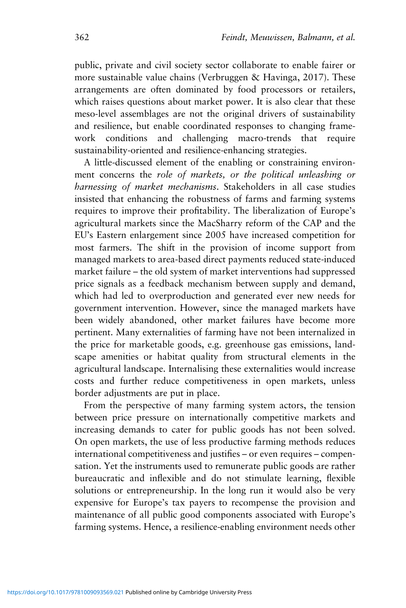public, private and civil society sector collaborate to enable fairer or more sustainable value chains (Verbruggen & Havinga, 2017). These arrangements are often dominated by food processors or retailers, which raises questions about market power. It is also clear that these meso-level assemblages are not the original drivers of sustainability and resilience, but enable coordinated responses to changing framework conditions and challenging macro-trends that require sustainability-oriented and resilience-enhancing strategies.

A little-discussed element of the enabling or constraining environment concerns the *role of markets, or the political unleashing or harnessing of market mechanisms*. Stakeholders in all case studies insisted that enhancing the robustness of farms and farming systems requires to improve their profitability. The liberalization of Europe's agricultural markets since the MacSharry reform of the CAP and the EU's Eastern enlargement since 2005 have increased competition for most farmers. The shift in the provision of income support from managed markets to area-based direct payments reduced state-induced market failure – the old system of market interventions had suppressed price signals as a feedback mechanism between supply and demand, which had led to overproduction and generated ever new needs for government intervention. However, since the managed markets have been widely abandoned, other market failures have become more pertinent. Many externalities of farming have not been internalized in the price for marketable goods, e.g. greenhouse gas emissions, landscape amenities or habitat quality from structural elements in the agricultural landscape. Internalising these externalities would increase costs and further reduce competitiveness in open markets, unless border adjustments are put in place.

From the perspective of many farming system actors, the tension between price pressure on internationally competitive markets and increasing demands to cater for public goods has not been solved. On open markets, the use of less productive farming methods reduces international competitiveness and justifies – or even requires – compensation. Yet the instruments used to remunerate public goods are rather bureaucratic and inflexible and do not stimulate learning, flexible solutions or entrepreneurship. In the long run it would also be very expensive for Europe's tax payers to recompense the provision and maintenance of all public good components associated with Europe's farming systems. Hence, a resilience-enabling environment needs other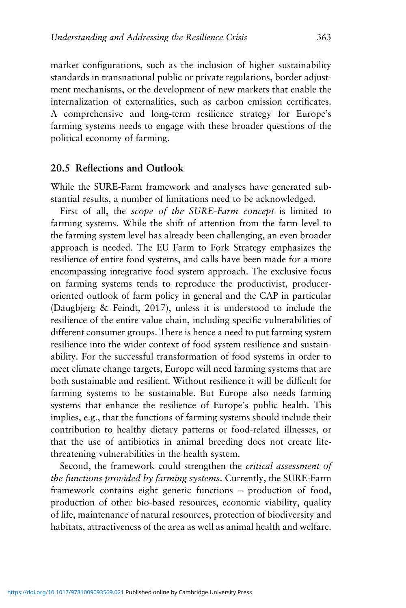market configurations, such as the inclusion of higher sustainability standards in transnational public or private regulations, border adjustment mechanisms, or the development of new markets that enable the internalization of externalities, such as carbon emission certificates. A comprehensive and long-term resilience strategy for Europe's farming systems needs to engage with these broader questions of the political economy of farming.

## **20.5 Reflections and Outlook**

While the SURE-Farm framework and analyses have generated substantial results, a number of limitations need to be acknowledged.

First of all, the *scope of the SURE-Farm concept* is limited to farming systems. While the shift of attention from the farm level to the farming system level has already been challenging, an even broader approach is needed. The EU Farm to Fork Strategy emphasizes the resilience of entire food systems, and calls have been made for a more encompassing integrative food system approach. The exclusive focus on farming systems tends to reproduce the productivist, produceroriented outlook of farm policy in general and the CAP in particular (Daugbjerg & Feindt, 2017), unless it is understood to include the resilience of the entire value chain, including specific vulnerabilities of different consumer groups. There is hence a need to put farming system resilience into the wider context of food system resilience and sustainability. For the successful transformation of food systems in order to meet climate change targets, Europe will need farming systems that are both sustainable and resilient. Without resilience it will be difficult for farming systems to be sustainable. But Europe also needs farming systems that enhance the resilience of Europe's public health. This implies, e.g., that the functions of farming systems should include their contribution to healthy dietary patterns or food-related illnesses, or that the use of antibiotics in animal breeding does not create lifethreatening vulnerabilities in the health system.

Second, the framework could strengthen the *critical assessment of the functions provided by farming systems*. Currently, the SURE-Farm framework contains eight generic functions – production of food, production of other bio-based resources, economic viability, quality of life, maintenance of natural resources, protection of biodiversity and habitats, attractiveness of the area as well as animal health and welfare.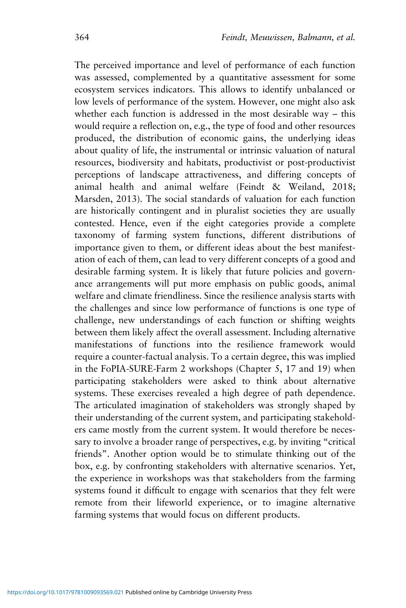The perceived importance and level of performance of each function was assessed, complemented by a quantitative assessment for some ecosystem services indicators. This allows to identify unbalanced or low levels of performance of the system. However, one might also ask whether each function is addressed in the most desirable way – this would require a reflection on, e.g., the type of food and other resources produced, the distribution of economic gains, the underlying ideas about quality of life, the instrumental or intrinsic valuation of natural resources, biodiversity and habitats, productivist or post-productivist perceptions of landscape attractiveness, and differing concepts of animal health and animal welfare (Feindt & Weiland, 2018; Marsden, 2013). The social standards of valuation for each function are historically contingent and in pluralist societies they are usually contested. Hence, even if the eight categories provide a complete taxonomy of farming system functions, different distributions of importance given to them, or different ideas about the best manifestation of each of them, can lead to very different concepts of a good and desirable farming system. It is likely that future policies and governance arrangements will put more emphasis on public goods, animal welfare and climate friendliness. Since the resilience analysis starts with the challenges and since low performance of functions is one type of challenge, new understandings of each function or shifting weights between them likely affect the overall assessment. Including alternative manifestations of functions into the resilience framework would require a counter-factual analysis. To a certain degree, this was implied in the FoPIA-SURE-Farm 2 workshops (Chapter 5, 17 and 19) when participating stakeholders were asked to think about alternative systems. These exercises revealed a high degree of path dependence. The articulated imagination of stakeholders was strongly shaped by their understanding of the current system, and participating stakeholders came mostly from the current system. It would therefore be necessary to involve a broader range of perspectives, e.g. by inviting "critical friends". Another option would be to stimulate thinking out of the box, e.g. by confronting stakeholders with alternative scenarios. Yet, the experience in workshops was that stakeholders from the farming systems found it difficult to engage with scenarios that they felt were remote from their lifeworld experience, or to imagine alternative farming systems that would focus on different products.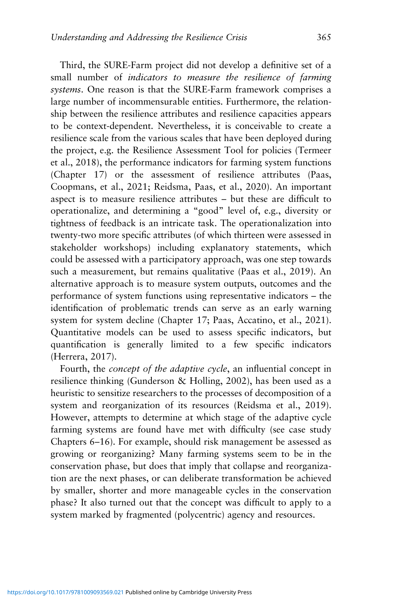Third, the SURE-Farm project did not develop a definitive set of a small number of *indicators to measure the resilience of farming systems*. One reason is that the SURE-Farm framework comprises a large number of incommensurable entities. Furthermore, the relationship between the resilience attributes and resilience capacities appears to be context-dependent. Nevertheless, it is conceivable to create a resilience scale from the various scales that have been deployed during the project, e.g. the Resilience Assessment Tool for policies (Termeer et al., 2018), the performance indicators for farming system functions (Chapter 17) or the assessment of resilience attributes (Paas, Coopmans, et al., 2021; Reidsma, Paas, et al., 2020). An important aspect is to measure resilience attributes – but these are difficult to operationalize, and determining a "good" level of, e.g., diversity or tightness of feedback is an intricate task. The operationalization into twenty-two more specific attributes (of which thirteen were assessed in stakeholder workshops) including explanatory statements, which could be assessed with a participatory approach, was one step towards such a measurement, but remains qualitative (Paas et al., 2019). An alternative approach is to measure system outputs, outcomes and the performance of system functions using representative indicators – the identification of problematic trends can serve as an early warning system for system decline (Chapter 17; Paas, Accatino, et al., 2021). Quantitative models can be used to assess specific indicators, but quantification is generally limited to a few specific indicators (Herrera, 2017).

Fourth, the *concept of the adaptive cycle*, an influential concept in resilience thinking (Gunderson & Holling, 2002), has been used as a heuristic to sensitize researchers to the processes of decomposition of a system and reorganization of its resources (Reidsma et al., 2019). However, attempts to determine at which stage of the adaptive cycle farming systems are found have met with difficulty (see case study Chapters 6–16). For example, should risk management be assessed as growing or reorganizing? Many farming systems seem to be in the conservation phase, but does that imply that collapse and reorganization are the next phases, or can deliberate transformation be achieved by smaller, shorter and more manageable cycles in the conservation phase? It also turned out that the concept was difficult to apply to a system marked by fragmented (polycentric) agency and resources.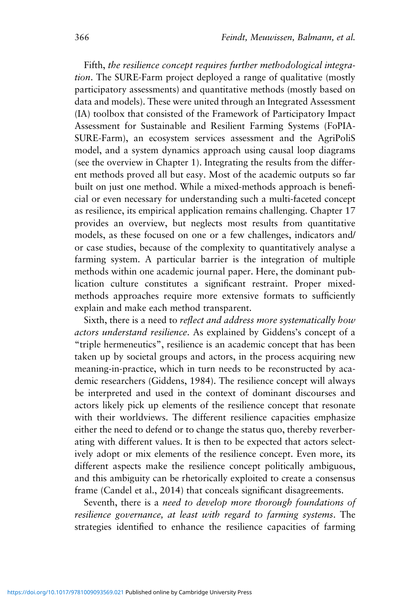Fifth, *the resilience concept requires further methodological integration*. The SURE-Farm project deployed a range of qualitative (mostly participatory assessments) and quantitative methods (mostly based on data and models). These were united through an Integrated Assessment (IA) toolbox that consisted of the Framework of Participatory Impact Assessment for Sustainable and Resilient Farming Systems (FoPIA-SURE-Farm), an ecosystem services assessment and the AgriPoliS model, and a system dynamics approach using causal loop diagrams (see the overview in Chapter 1). Integrating the results from the different methods proved all but easy. Most of the academic outputs so far built on just one method. While a mixed-methods approach is beneficial or even necessary for understanding such a multi-faceted concept as resilience, its empirical application remains challenging. Chapter 17 provides an overview, but neglects most results from quantitative models, as these focused on one or a few challenges, indicators and/ or case studies, because of the complexity to quantitatively analyse a farming system. A particular barrier is the integration of multiple methods within one academic journal paper. Here, the dominant publication culture constitutes a significant restraint. Proper mixedmethods approaches require more extensive formats to sufficiently explain and make each method transparent.

Sixth, there is a need to *reflect and address more systematically how actors understand resilience*. As explained by Giddens's concept of a "triple hermeneutics", resilience is an academic concept that has been taken up by societal groups and actors, in the process acquiring new meaning-in-practice, which in turn needs to be reconstructed by academic researchers (Giddens, 1984). The resilience concept will always be interpreted and used in the context of dominant discourses and actors likely pick up elements of the resilience concept that resonate with their worldviews. The different resilience capacities emphasize either the need to defend or to change the status quo, thereby reverberating with different values. It is then to be expected that actors selectively adopt or mix elements of the resilience concept. Even more, its different aspects make the resilience concept politically ambiguous, and this ambiguity can be rhetorically exploited to create a consensus frame (Candel et al., 2014) that conceals significant disagreements.

Seventh, there is a *need to develop more thorough foundations of resilience governance, at least with regard to farming systems*. The strategies identified to enhance the resilience capacities of farming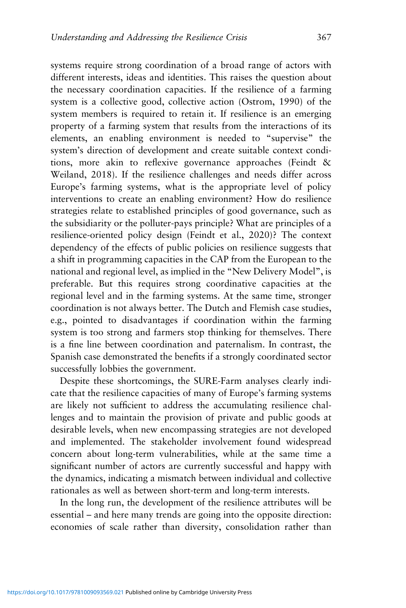systems require strong coordination of a broad range of actors with different interests, ideas and identities. This raises the question about the necessary coordination capacities. If the resilience of a farming system is a collective good, collective action (Ostrom, 1990) of the system members is required to retain it. If resilience is an emerging property of a farming system that results from the interactions of its elements, an enabling environment is needed to "supervise" the system's direction of development and create suitable context conditions, more akin to reflexive governance approaches (Feindt & Weiland, 2018). If the resilience challenges and needs differ across Europe's farming systems, what is the appropriate level of policy interventions to create an enabling environment? How do resilience strategies relate to established principles of good governance, such as the subsidiarity or the polluter-pays principle? What are principles of a resilience-oriented policy design (Feindt et al., 2020)? The context dependency of the effects of public policies on resilience suggests that a shift in programming capacities in the CAP from the European to the national and regional level, as implied in the "New Delivery Model", is preferable. But this requires strong coordinative capacities at the regional level and in the farming systems. At the same time, stronger coordination is not always better. The Dutch and Flemish case studies, e.g., pointed to disadvantages if coordination within the farming system is too strong and farmers stop thinking for themselves. There is a fine line between coordination and paternalism. In contrast, the Spanish case demonstrated the benefits if a strongly coordinated sector successfully lobbies the government.

Despite these shortcomings, the SURE-Farm analyses clearly indicate that the resilience capacities of many of Europe's farming systems are likely not sufficient to address the accumulating resilience challenges and to maintain the provision of private and public goods at desirable levels, when new encompassing strategies are not developed and implemented. The stakeholder involvement found widespread concern about long-term vulnerabilities, while at the same time a significant number of actors are currently successful and happy with the dynamics, indicating a mismatch between individual and collective rationales as well as between short-term and long-term interests.

In the long run, the development of the resilience attributes will be essential – and here many trends are going into the opposite direction: economies of scale rather than diversity, consolidation rather than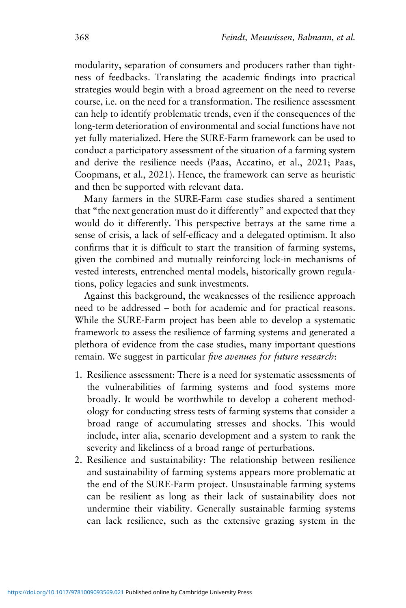modularity, separation of consumers and producers rather than tightness of feedbacks. Translating the academic findings into practical strategies would begin with a broad agreement on the need to reverse course, i.e. on the need for a transformation. The resilience assessment can help to identify problematic trends, even if the consequences of the long-term deterioration of environmental and social functions have not yet fully materialized. Here the SURE-Farm framework can be used to conduct a participatory assessment of the situation of a farming system and derive the resilience needs (Paas, Accatino, et al., 2021; Paas, Coopmans, et al., 2021). Hence, the framework can serve as heuristic and then be supported with relevant data.

Many farmers in the SURE-Farm case studies shared a sentiment that "the next generation must do it differently" and expected that they would do it differently. This perspective betrays at the same time a sense of crisis, a lack of self-efficacy and a delegated optimism. It also confirms that it is difficult to start the transition of farming systems, given the combined and mutually reinforcing lock-in mechanisms of vested interests, entrenched mental models, historically grown regulations, policy legacies and sunk investments.

Against this background, the weaknesses of the resilience approach need to be addressed – both for academic and for practical reasons. While the SURE-Farm project has been able to develop a systematic framework to assess the resilience of farming systems and generated a plethora of evidence from the case studies, many important questions remain. We suggest in particular *five avenues for future research*:

- 1. Resilience assessment: There is a need for systematic assessments of the vulnerabilities of farming systems and food systems more broadly. It would be worthwhile to develop a coherent methodology for conducting stress tests of farming systems that consider a broad range of accumulating stresses and shocks. This would include, inter alia, scenario development and a system to rank the severity and likeliness of a broad range of perturbations.
- 2. Resilience and sustainability: The relationship between resilience and sustainability of farming systems appears more problematic at the end of the SURE-Farm project. Unsustainable farming systems can be resilient as long as their lack of sustainability does not undermine their viability. Generally sustainable farming systems can lack resilience, such as the extensive grazing system in the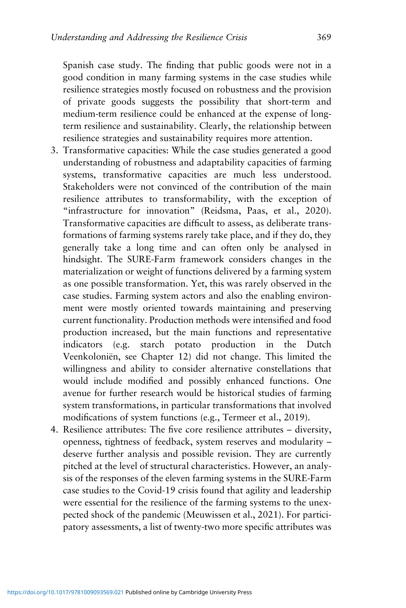Spanish case study. The finding that public goods were not in a good condition in many farming systems in the case studies while resilience strategies mostly focused on robustness and the provision of private goods suggests the possibility that short-term and medium-term resilience could be enhanced at the expense of longterm resilience and sustainability. Clearly, the relationship between resilience strategies and sustainability requires more attention.

- 3. Transformative capacities: While the case studies generated a good understanding of robustness and adaptability capacities of farming systems, transformative capacities are much less understood. Stakeholders were not convinced of the contribution of the main resilience attributes to transformability, with the exception of "infrastructure for innovation" (Reidsma, Paas, et al., 2020). Transformative capacities are difficult to assess, as deliberate transformations of farming systems rarely take place, and if they do, they generally take a long time and can often only be analysed in hindsight. The SURE-Farm framework considers changes in the materialization or weight of functions delivered by a farming system as one possible transformation. Yet, this was rarely observed in the case studies. Farming system actors and also the enabling environment were mostly oriented towards maintaining and preserving current functionality. Production methods were intensified and food production increased, but the main functions and representative indicators (e.g. starch potato production in the Dutch Veenkoloniën, see Chapter 12) did not change. This limited the willingness and ability to consider alternative constellations that would include modified and possibly enhanced functions. One avenue for further research would be historical studies of farming system transformations, in particular transformations that involved modifications of system functions (e.g., Termeer et al., 2019).
- 4. Resilience attributes: The five core resilience attributes diversity, openness, tightness of feedback, system reserves and modularity – deserve further analysis and possible revision. They are currently pitched at the level of structural characteristics. However, an analysis of the responses of the eleven farming systems in the SURE-Farm case studies to the Covid-19 crisis found that agility and leadership were essential for the resilience of the farming systems to the unexpected shock of the pandemic (Meuwissen et al., 2021). For participatory assessments, a list of twenty-two more specific attributes was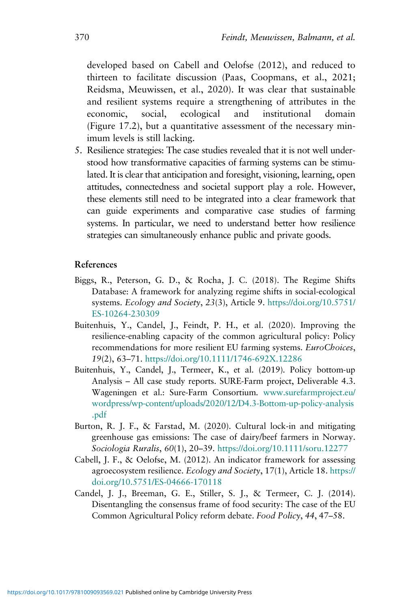developed based on Cabell and Oelofse (2012), and reduced to thirteen to facilitate discussion (Paas, Coopmans, et al., 2021; Reidsma, Meuwissen, et al., 2020). It was clear that sustainable and resilient systems require a strengthening of attributes in the economic, social, ecological and institutional domain (Figure 17.2), but a quantitative assessment of the necessary minimum levels is still lacking.

5. Resilience strategies: The case studies revealed that it is not well understood how transformative capacities of farming systems can be stimulated. It is clear that anticipation and foresight, visioning, learning, open attitudes, connectedness and societal support play a role. However, these elements still need to be integrated into a clear framework that can guide experiments and comparative case studies of farming systems. In particular, we need to understand better how resilience strategies can simultaneously enhance public and private goods.

#### **References**

- Biggs, R., Peterson, G. D., & Rocha, J. C. (2018). The Regime Shifts Database: A framework for analyzing regime shifts in social-ecological systems. *Ecology and Society*, *23*(3), Article 9. [https://doi.org/10.5751/](https://doi.org/10.5751/ES-10264-230309) [ES-10264-230309](https://doi.org/10.5751/ES-10264-230309)
- Buitenhuis, Y., Candel, J., Feindt, P. H., et al. (2020). Improving the resilience-enabling capacity of the common agricultural policy: Policy recommendations for more resilient EU farming systems. *EuroChoices*, *19*(2), 63–71. [https://doi.org/10.1111/1746-692X.12286](https://doi.org/https://doi.org/10.1111/1746-692X.12286)
- Buitenhuis, Y., Candel, J., Termeer, K., et al. (2019). Policy bottom-up Analysis – All case study reports. SURE-Farm project, Deliverable 4.3. Wageningen et al.: Sure-Farm Consortium. [www.surefarmproject.eu/](https://www.surefarmproject.eu/wordpress/wp-content/uploads/2020/12/D4.3-Bottom-up-policy-analysis.pdf) [wordpress/wp-content/uploads/2020/12/D4.3-Bottom-up-policy-analysis](https://www.surefarmproject.eu/wordpress/wp-content/uploads/2020/12/D4.3-Bottom-up-policy-analysis.pdf) [.pdf](https://www.surefarmproject.eu/wordpress/wp-content/uploads/2020/12/D4.3-Bottom-up-policy-analysis.pdf)
- Burton, R. J. F., & Farstad, M. (2020). Cultural lock-in and mitigating greenhouse gas emissions: The case of dairy/beef farmers in Norway. *Sociologia Ruralis*, *60*(1), 20–39. [https://doi.org/10.1111/soru.12277](https://doi.org/https://doi.org/10.1111/soru.12277)
- Cabell, J. F., & Oelofse, M. (2012). An indicator framework for assessing agroecosystem resilience. *Ecology and Society*, 17(1), Article 18. [https://](https://doi.org/http://dx.doi.org/10.5751/ES-04666-170118) [doi.org/10.5751/ES-04666-170118](https://doi.org/http://dx.doi.org/10.5751/ES-04666-170118)
- Candel, J. J., Breeman, G. E., Stiller, S. J., & Termeer, C. J. (2014). Disentangling the consensus frame of food security: The case of the EU Common Agricultural Policy reform debate. *Food Policy*, *44*, 47–58.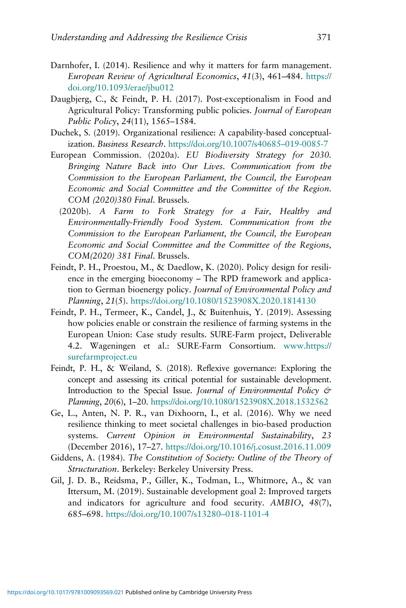- Darnhofer, I. (2014). Resilience and why it matters for farm management. *European Review of Agricultural Economics*, *41*(3), 461–484. [https://](https://doi.org/10.1093/erae/jbu012) [doi.org/10.1093/erae/jbu012](https://doi.org/10.1093/erae/jbu012)
- Daugbjerg, C., & Feindt, P. H. (2017). Post-exceptionalism in Food and Agricultural Policy: Transforming public policies. *Journal of European Public Policy*, *24*(11), 1565–1584.
- Duchek, S. (2019). Organizational resilience: A capability-based conceptualization. *Business Research*. [https://doi.org/10.1007/s40685](https://doi.org/https://doi.org/10.1007/s40685–019-0085-7)–019-0085-7
- European Commission. (2020a). *EU Biodiversity Strategy for 2030. Bringing Nature Back into Our Lives. Communication from the Commission to the European Parliament, the Council, the European Economic and Social Committee and the Committee of the Region. COM (2020)380 Final*. Brussels.
	- (2020b). *A Farm to Fork Strategy for a Fair, Healthy and Environmentally-Friendly Food System. Communication from the Commission to the European Parliament, the Council, the European Economic and Social Committee and the Committee of the Regions, COM(2020) 381 Final*. Brussels.
- Feindt, P. H., Proestou, M., & Daedlow, K. (2020). Policy design for resilience in the emerging bioeconomy – The RPD framework and application to German bioenergy policy. *Journal of Environmental Policy and Planning*, *21*(5). [https://doi.org/10.1080/1523908X.2020.1814130](https://doi.org/https://doi.org/10.1080/1523908X.2020.1814130)
- Feindt, P. H., Termeer, K., Candel, J., & Buitenhuis, Y. (2019). Assessing how policies enable or constrain the resilience of farming systems in the European Union: Case study results. SURE-Farm project, Deliverable 4.2. Wageningen et al.: SURE-Farm Consortium. [www.https://](http://www.https//surefarmproject.eu) [surefarmproject.eu](http://www.https//surefarmproject.eu)
- Feindt, P. H., & Weiland, S. (2018). Reflexive governance: Exploring the concept and assessing its critical potential for sustainable development. Introduction to the Special Issue. *Journal of Environmental Policy & Planning*, *20*(6), 1–20. [https://doi.org/10.1080/1523908X.2018.1532562](https://doi.org/https://doi.org/10.1080/1523908X.2018.1532562)
- Ge, L., Anten, N. P. R., van Dixhoorn, I., et al. (2016). Why we need resilience thinking to meet societal challenges in bio-based production systems. *Current Opinion in Environmental Sustainability*, *23* (December 2016), 17–27. [https://doi.org/10.1016/j.cosust.2016.11.009](https://doi.org/https://doi.org/10.1016/j.cosust.2016.11.009)
- Giddens, A. (1984). *The Constitution of Society: Outline of the Theory of Structuration*. Berkeley: Berkeley University Press.
- Gil, J. D. B., Reidsma, P., Giller, K., Todman, L., Whitmore, A., & van Ittersum, M. (2019). Sustainable development goal 2: Improved targets and indicators for agriculture and food security. *AMBIO*, *48*(7), 685–698. [https://doi.org/10.1007/s13280](https://doi.org/10.1007/s13280–018-1101-4)–018-1101-4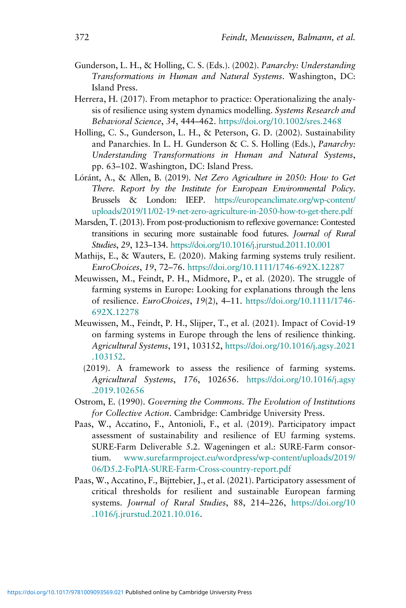- Gunderson, L. H., & Holling, C. S. (Eds.). (2002). *Panarchy: Understanding Transformations in Human and Natural Systems*. Washington, DC: Island Press.
- Herrera, H. (2017). From metaphor to practice: Operationalizing the analysis of resilience using system dynamics modelling. *Systems Research and Behavioral Science*, *34*, 444–462. [https://doi.org/10.1002/sres.2468](https://doi.org/https://doi.org/10.1002/sres.2468)
- Holling, C. S., Gunderson, L. H., & Peterson, G. D. (2002). Sustainability and Panarchies. In L. H. Gunderson & C. S. Holling (Eds.), *Panarchy: Understanding Transformations in Human and Natural Systems*, pp. 63–102. Washington, DC: Island Press.
- Lóránt, A., & Allen, B. (2019). *Net Zero Agriculture in 2050: How to Get There. Report by the Institute for European Environmental Policy*. Brussels & London: IEEP. [https://europeanclimate.org/wp-content/](https://europeanclimate.org/wp-content/uploads/2019/11/02-19-net-zero-agriculture-in-2050-how-to-get-there.pdf) [uploads/2019/11/02-19-net-zero-agriculture-in-2050-how-to-get-there.pdf](https://europeanclimate.org/wp-content/uploads/2019/11/02-19-net-zero-agriculture-in-2050-how-to-get-there.pdf)
- Marsden, T. (2013). From post-productionism to reflexive governance: Contested transitions in securing more sustainable food futures. *Journal of Rural Studies*, *29*, 123–134. <https://doi.org/10.1016/j.jrurstud.2011.10.001>
- Mathijs, E., & Wauters, E. (2020). Making farming systems truly resilient. *EuroChoices*, *19*, 72–76. [https://doi.org/10.1111/1746-692X.12287](https://doi.org/https://doi.org/10.1111/1746-692X.12287)
- Meuwissen, M., Feindt, P. H., Midmore, P., et al. (2020). The struggle of farming systems in Europe: Looking for explanations through the lens of resilience. *EuroChoices*, *19*(2), 4–11. [https://doi.org/10.1111/1746-](https://doi.org/https://doi.org/10.1111/1746-692X.12278) [692X.12278](https://doi.org/https://doi.org/10.1111/1746-692X.12278)
- Meuwissen, M., Feindt, P. H., Slijper, T., et al. (2021). Impact of Covid-19 on farming systems in Europe through the lens of resilience thinking. *Agricultural Systems*, 191, 103152, [https://doi.org/10.1016/j.agsy.2021](https://doi.org/10.1016/j.agsy.2021.103152) [.103152.](https://doi.org/10.1016/j.agsy.2021.103152)
	- (2019). A framework to assess the resilience of farming systems. *Agricultural Systems*, *176*, 102656. [https://doi.org/10.1016/j.agsy](https://doi.org/https://doi.org/10.1016/j.agsy.2019.102656) [.2019.102656](https://doi.org/https://doi.org/10.1016/j.agsy.2019.102656)
- Ostrom, E. (1990). *Governing the Commons. The Evolution of Institutions for Collective Action*. Cambridge: Cambridge University Press.
- Paas, W., Accatino, F., Antonioli, F., et al. (2019). Participatory impact assessment of sustainability and resilience of EU farming systems. SURE-Farm Deliverable 5.2. Wageningen et al.: SURE-Farm consortium. [www.surefarmproject.eu/wordpress/wp-content/uploads/2019/](https://www.surefarmproject.eu/wordpress/wp-content/uploads/2019/06/D5.2-FoPIA-SURE-Farm-Cross-country-report.pdf) [06/D5.2-FoPIA-SURE-Farm-Cross-country-report.pdf](https://www.surefarmproject.eu/wordpress/wp-content/uploads/2019/06/D5.2-FoPIA-SURE-Farm-Cross-country-report.pdf)
- Paas, W., Accatino, F., Bijttebier, J., et al. (2021). Participatory assessment of critical thresholds for resilient and sustainable European farming systems. *Journal of Rural Studies*, 88, 214–226, [https://doi.org/10](https://doi.org/10.1016/j.jrurstud.2021.10.016) [.1016/j.jrurstud.2021.10.016.](https://doi.org/10.1016/j.jrurstud.2021.10.016)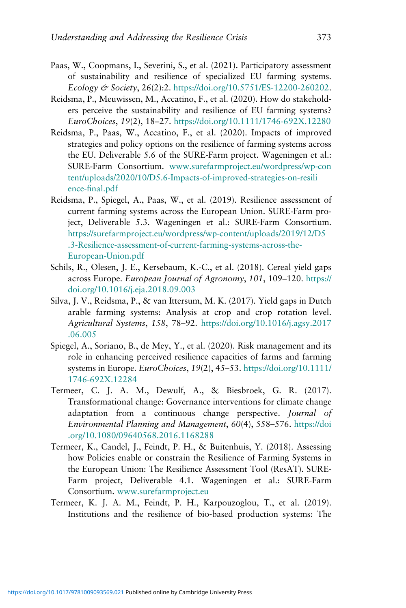- Paas, W., Coopmans, I., Severini, S., et al. (2021). Participatory assessment of sustainability and resilience of specialized EU farming systems. *Ecology & Society*, 26(2):2. <https://doi.org/10.5751/ES-12200-260202>.
- Reidsma, P., Meuwissen, M., Accatino, F., et al. (2020). How do stakeholders perceive the sustainability and resilience of EU farming systems? *EuroChoices*, *19*(2), 18–27. [https://doi.org/10.1111/1746-692X.12280](https://doi.org/https://doi.org/10.1111/1746-692X.12280)
- Reidsma, P., Paas, W., Accatino, F., et al. (2020). Impacts of improved strategies and policy options on the resilience of farming systems across the EU. Deliverable 5.6 of the SURE-Farm project. Wageningen et al.: SURE-Farm Consortium. [www.surefarmproject.eu/wordpress/wp-con](https://www.surefarmproject.eu/wordpress/wp-content/uploads/2020/10/D5.6-Impacts-of-improved-strategies-on-resilience-final.pdf) [tent/uploads/2020/10/D5.6-Impacts-of-improved-strategies-on-resili](https://www.surefarmproject.eu/wordpress/wp-content/uploads/2020/10/D5.6-Impacts-of-improved-strategies-on-resilience-final.pdf) [ence-](https://www.surefarmproject.eu/wordpress/wp-content/uploads/2020/10/D5.6-Impacts-of-improved-strategies-on-resilience-final.pdf)fi[nal.pdf](https://www.surefarmproject.eu/wordpress/wp-content/uploads/2020/10/D5.6-Impacts-of-improved-strategies-on-resilience-final.pdf)
- Reidsma, P., Spiegel, A., Paas, W., et al. (2019). Resilience assessment of current farming systems across the European Union. SURE-Farm project, Deliverable 5.3. Wageningen et al.: SURE-Farm Consortium. [https://surefarmproject.eu/wordpress/wp-content/uploads/2019/12/D5](https://surefarmproject.eu/wordpress/wp-content/uploads/2019/12/D5.3-Resilience-assessment-of-current-farming-systems-across-the-European-Union.pdf) [.3-Resilience-assessment-of-current-farming-systems-across-the-](https://surefarmproject.eu/wordpress/wp-content/uploads/2019/12/D5.3-Resilience-assessment-of-current-farming-systems-across-the-European-Union.pdf)[European-Union.pdf](https://surefarmproject.eu/wordpress/wp-content/uploads/2019/12/D5.3-Resilience-assessment-of-current-farming-systems-across-the-European-Union.pdf)
- Schils, R., Olesen, J. E., Kersebaum, K.-C., et al. (2018). Cereal yield gaps across Europe. *European Journal of Agronomy*, *101*, 109–120. [https://](https://doi.org/https://doi.org/10.1016/j.eja.2018.09.003) [doi.org/10.1016/j.eja.2018.09.003](https://doi.org/https://doi.org/10.1016/j.eja.2018.09.003)
- Silva, J. V., Reidsma, P., & van Ittersum, M. K. (2017). Yield gaps in Dutch arable farming systems: Analysis at crop and crop rotation level. *Agricultural Systems*, *158*, 78–92. [https://doi.org/10.1016/j.agsy.2017](https://doi.org/https://doi.org/10.1016/j.agsy.2017.06.005) [.06.005](https://doi.org/https://doi.org/10.1016/j.agsy.2017.06.005)
- Spiegel, A., Soriano, B., de Mey, Y., et al. (2020). Risk management and its role in enhancing perceived resilience capacities of farms and farming systems in Europe. *EuroChoices*, *19*(2), 45–53. [https://doi.org/10.1111/](https://doi.org/https://doi.org/10.1111/1746-692X.12284) [1746-692X.12284](https://doi.org/https://doi.org/10.1111/1746-692X.12284)
- Termeer, C. J. A. M., Dewulf, A., & Biesbroek, G. R. (2017). Transformational change: Governance interventions for climate change adaptation from a continuous change perspective. *Journal of Environmental Planning and Management*, *60*(4), 558–576. [https://doi](https://doi.org/10.1080/09640568.2016.1168288) [.org/10.1080/09640568.2016.1168288](https://doi.org/10.1080/09640568.2016.1168288)
- Termeer, K., Candel, J., Feindt, P. H., & Buitenhuis, Y. (2018). Assessing how Policies enable or constrain the Resilience of Farming Systems in the European Union: The Resilience Assessment Tool (ResAT). SURE-Farm project, Deliverable 4.1. Wageningen et al.: SURE-Farm Consortium. [www.surefarmproject.eu](http://www.surefarmproject.eu)
- Termeer, K. J. A. M., Feindt, P. H., Karpouzoglou, T., et al. (2019). Institutions and the resilience of bio-based production systems: The